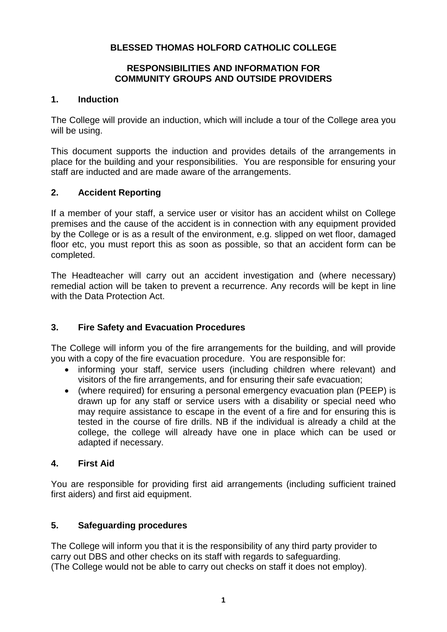# **BLESSED THOMAS HOLFORD CATHOLIC COLLEGE**

### **RESPONSIBILITIES AND INFORMATION FOR COMMUNITY GROUPS AND OUTSIDE PROVIDERS**

### **1. Induction**

The College will provide an induction, which will include a tour of the College area you will be using.

This document supports the induction and provides details of the arrangements in place for the building and your responsibilities. You are responsible for ensuring your staff are inducted and are made aware of the arrangements.

## **2. Accident Reporting**

If a member of your staff, a service user or visitor has an accident whilst on College premises and the cause of the accident is in connection with any equipment provided by the College or is as a result of the environment, e.g. slipped on wet floor, damaged floor etc, you must report this as soon as possible, so that an accident form can be completed.

The Headteacher will carry out an accident investigation and (where necessary) remedial action will be taken to prevent a recurrence. Any records will be kept in line with the Data Protection Act.

## **3. Fire Safety and Evacuation Procedures**

The College will inform you of the fire arrangements for the building, and will provide you with a copy of the fire evacuation procedure. You are responsible for:

- informing your staff, service users (including children where relevant) and visitors of the fire arrangements, and for ensuring their safe evacuation;
- (where required) for ensuring a personal emergency evacuation plan (PEEP) is drawn up for any staff or service users with a disability or special need who may require assistance to escape in the event of a fire and for ensuring this is tested in the course of fire drills. NB if the individual is already a child at the college, the college will already have one in place which can be used or adapted if necessary.

## **4. First Aid**

You are responsible for providing first aid arrangements (including sufficient trained first aiders) and first aid equipment.

## **5. Safeguarding procedures**

The College will inform you that it is the responsibility of any third party provider to carry out DBS and other checks on its staff with regards to safeguarding. (The College would not be able to carry out checks on staff it does not employ).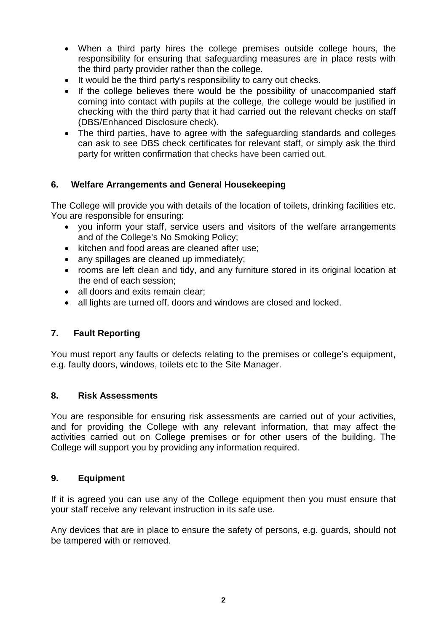- When a third party hires the college premises outside college hours, the responsibility for ensuring that safeguarding measures are in place rests with the third party provider rather than the college.
- It would be the third party's responsibility to carry out checks.
- If the college believes there would be the possibility of unaccompanied staff coming into contact with pupils at the college, the college would be justified in checking with the third party that it had carried out the relevant checks on staff (DBS/Enhanced Disclosure check).
- The third parties, have to agree with the safeguarding standards and colleges can ask to see DBS check certificates for relevant staff, or simply ask the third party for written confirmation that checks have been carried out.

## **6. Welfare Arrangements and General Housekeeping**

The College will provide you with details of the location of toilets, drinking facilities etc. You are responsible for ensuring:

- you inform your staff, service users and visitors of the welfare arrangements and of the College's No Smoking Policy;
- kitchen and food areas are cleaned after use;
- any spillages are cleaned up immediately;
- rooms are left clean and tidy, and any furniture stored in its original location at the end of each session;
- all doors and exits remain clear;
- all lights are turned off, doors and windows are closed and locked.

### **7. Fault Reporting**

You must report any faults or defects relating to the premises or college's equipment, e.g. faulty doors, windows, toilets etc to the Site Manager.

### **8. Risk Assessments**

You are responsible for ensuring risk assessments are carried out of your activities, and for providing the College with any relevant information, that may affect the activities carried out on College premises or for other users of the building. The College will support you by providing any information required.

### **9. Equipment**

If it is agreed you can use any of the College equipment then you must ensure that your staff receive any relevant instruction in its safe use.

Any devices that are in place to ensure the safety of persons, e.g. guards, should not be tampered with or removed.